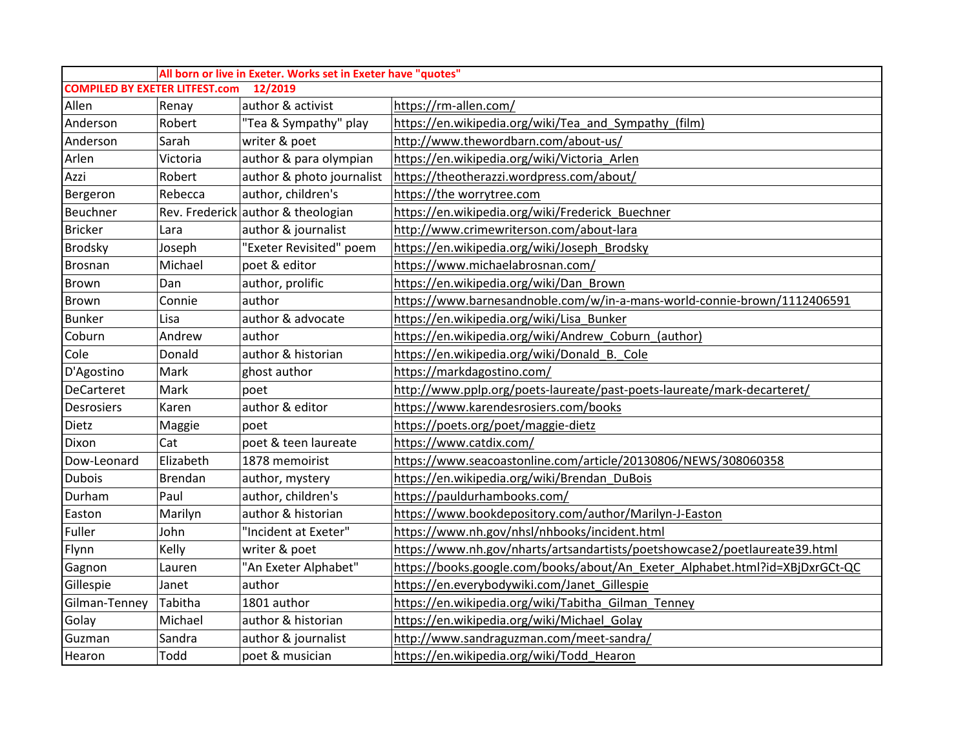|                                                  |                | All born or live in Exeter. Works set in Exeter have "quotes" |                                                                              |  |  |  |  |  |
|--------------------------------------------------|----------------|---------------------------------------------------------------|------------------------------------------------------------------------------|--|--|--|--|--|
| <b>COMPILED BY EXETER LITFEST.com</b><br>12/2019 |                |                                                               |                                                                              |  |  |  |  |  |
| Allen                                            | Renay          | author & activist                                             | https://rm-allen.com/                                                        |  |  |  |  |  |
| Anderson                                         | Robert         | "Tea & Sympathy" play                                         | https://en.wikipedia.org/wiki/Tea_and_Sympathy_(film)                        |  |  |  |  |  |
| Anderson                                         | Sarah          | writer & poet                                                 | http://www.thewordbarn.com/about-us/                                         |  |  |  |  |  |
| Arlen                                            | Victoria       | author & para olympian                                        | https://en.wikipedia.org/wiki/Victoria Arlen                                 |  |  |  |  |  |
| Azzi                                             | Robert         | author & photo journalist                                     | https://theotherazzi.wordpress.com/about/                                    |  |  |  |  |  |
| Bergeron                                         | Rebecca        | author, children's                                            | https://the worrytree.com                                                    |  |  |  |  |  |
| Beuchner                                         |                | Rev. Frederick author & theologian                            | https://en.wikipedia.org/wiki/Frederick Buechner                             |  |  |  |  |  |
| <b>Bricker</b>                                   | Lara           | author & journalist                                           | http://www.crimewriterson.com/about-lara                                     |  |  |  |  |  |
| <b>Brodsky</b>                                   | Joseph         | "Exeter Revisited" poem                                       | https://en.wikipedia.org/wiki/Joseph Brodsky                                 |  |  |  |  |  |
| <b>Brosnan</b>                                   | Michael        | poet & editor                                                 | https://www.michaelabrosnan.com/                                             |  |  |  |  |  |
| Brown                                            | Dan            | author, prolific                                              | https://en.wikipedia.org/wiki/Dan Brown                                      |  |  |  |  |  |
| <b>Brown</b>                                     | Connie         | author                                                        | https://www.barnesandnoble.com/w/in-a-mans-world-connie-brown/1112406591     |  |  |  |  |  |
| <b>Bunker</b>                                    | Lisa           | author & advocate                                             | https://en.wikipedia.org/wiki/Lisa_Bunker                                    |  |  |  |  |  |
| Coburn                                           | Andrew         | author                                                        | https://en.wikipedia.org/wiki/Andrew Coburn (author)                         |  |  |  |  |  |
| Cole                                             | Donald         | author & historian                                            | https://en.wikipedia.org/wiki/Donald B. Cole                                 |  |  |  |  |  |
| D'Agostino                                       | Mark           | ghost author                                                  | https://markdagostino.com/                                                   |  |  |  |  |  |
| <b>DeCarteret</b>                                | Mark           | poet                                                          | http://www.pplp.org/poets-laureate/past-poets-laureate/mark-decarteret/      |  |  |  |  |  |
| <b>Desrosiers</b>                                | Karen          | author & editor                                               | https://www.karendesrosiers.com/books                                        |  |  |  |  |  |
| Dietz                                            | Maggie         | poet                                                          | https://poets.org/poet/maggie-dietz                                          |  |  |  |  |  |
| Dixon                                            | Cat            | poet & teen laureate                                          | https://www.catdix.com/                                                      |  |  |  |  |  |
| Dow-Leonard                                      | Elizabeth      | 1878 memoirist                                                | https://www.seacoastonline.com/article/20130806/NEWS/308060358               |  |  |  |  |  |
| <b>Dubois</b>                                    | <b>Brendan</b> | author, mystery                                               | https://en.wikipedia.org/wiki/Brendan DuBois                                 |  |  |  |  |  |
| Durham                                           | Paul           | author, children's                                            | https://pauldurhambooks.com/                                                 |  |  |  |  |  |
| Easton                                           | Marilyn        | author & historian                                            | https://www.bookdepository.com/author/Marilyn-J-Easton                       |  |  |  |  |  |
| Fuller                                           | John           | "Incident at Exeter"                                          | https://www.nh.gov/nhsl/nhbooks/incident.html                                |  |  |  |  |  |
| Flynn                                            | Kelly          | writer & poet                                                 | https://www.nh.gov/nharts/artsandartists/poetshowcase2/poetlaureate39.html   |  |  |  |  |  |
| Gagnon                                           | Lauren         | "An Exeter Alphabet"                                          | https://books.google.com/books/about/An Exeter Alphabet.html?id=XBjDxrGCt-QC |  |  |  |  |  |
| Gillespie                                        | Janet          | author                                                        | https://en.everybodywiki.com/Janet_Gillespie                                 |  |  |  |  |  |
| Gilman-Tenney                                    | Tabitha        | 1801 author                                                   | https://en.wikipedia.org/wiki/Tabitha Gilman Tenney                          |  |  |  |  |  |
| Golay                                            | Michael        | author & historian                                            | https://en.wikipedia.org/wiki/Michael Golay                                  |  |  |  |  |  |
| Guzman                                           | Sandra         | author & journalist                                           | http://www.sandraguzman.com/meet-sandra/                                     |  |  |  |  |  |
| Hearon                                           | Todd           | poet & musician                                               | https://en.wikipedia.org/wiki/Todd Hearon                                    |  |  |  |  |  |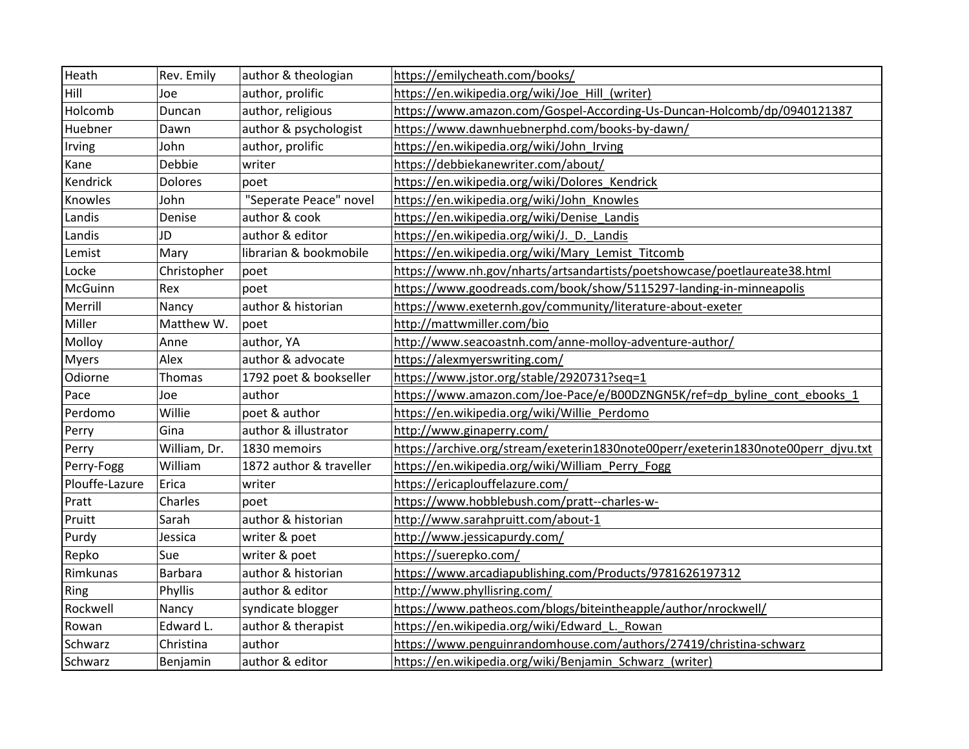| Heath          | Rev. Emily     | author & theologian     | https://emilycheath.com/books/                                                    |
|----------------|----------------|-------------------------|-----------------------------------------------------------------------------------|
| Hill           | Joe            | author, prolific        | https://en.wikipedia.org/wiki/Joe Hill (writer)                                   |
| Holcomb        | Duncan         | author, religious       | https://www.amazon.com/Gospel-According-Us-Duncan-Holcomb/dp/0940121387           |
| Huebner        | Dawn           | author & psychologist   | https://www.dawnhuebnerphd.com/books-by-dawn/                                     |
| Irving         | John           | author, prolific        | https://en.wikipedia.org/wiki/John Irving                                         |
| Kane           | Debbie         | writer                  | https://debbiekanewriter.com/about/                                               |
| Kendrick       | <b>Dolores</b> | poet                    | https://en.wikipedia.org/wiki/Dolores Kendrick                                    |
| Knowles        | John           | "Seperate Peace" novel  | https://en.wikipedia.org/wiki/John Knowles                                        |
| Landis         | Denise         | author & cook           | https://en.wikipedia.org/wiki/Denise Landis                                       |
| Landis         | <b>JD</b>      | author & editor         | https://en.wikipedia.org/wiki/J. D. Landis                                        |
| Lemist         | Mary           | librarian & bookmobile  | https://en.wikipedia.org/wiki/Mary Lemist Titcomb                                 |
| Locke          | Christopher    | poet                    | https://www.nh.gov/nharts/artsandartists/poetshowcase/poetlaureate38.html         |
| McGuinn        | Rex            | poet                    | https://www.goodreads.com/book/show/5115297-landing-in-minneapolis                |
| Merrill        | Nancy          | author & historian      | https://www.exeternh.gov/community/literature-about-exeter                        |
| Miller         | Matthew W.     | poet                    | http://mattwmiller.com/bio                                                        |
| Molloy         | Anne           | author, YA              | http://www.seacoastnh.com/anne-molloy-adventure-author/                           |
| <b>Myers</b>   | Alex           | author & advocate       | https://alexmyerswriting.com/                                                     |
| Odiorne        | Thomas         | 1792 poet & bookseller  | https://www.jstor.org/stable/2920731?seq=1                                        |
| Pace           | Joe            | author                  | https://www.amazon.com/Joe-Pace/e/B00DZNGN5K/ref=dp_byline_cont_ebooks_1          |
| Perdomo        | Willie         | poet & author           | https://en.wikipedia.org/wiki/Willie Perdomo                                      |
| Perry          | Gina           | author & illustrator    | http://www.ginaperry.com/                                                         |
| Perry          | William, Dr.   | 1830 memoirs            | https://archive.org/stream/exeterin1830note00perr/exeterin1830note00perr djvu.txt |
| Perry-Fogg     | William        | 1872 author & traveller | https://en.wikipedia.org/wiki/William_Perry_Fogg                                  |
| Plouffe-Lazure | Erica          | writer                  | https://ericaplouffelazure.com/                                                   |
| Pratt          | Charles        | poet                    | https://www.hobblebush.com/pratt--charles-w-                                      |
| Pruitt         | Sarah          | author & historian      | http://www.sarahpruitt.com/about-1                                                |
| Purdy          | Jessica        | writer & poet           | http://www.jessicapurdy.com/                                                      |
| Repko          | Sue            | writer & poet           | https://suerepko.com/                                                             |
| Rimkunas       | Barbara        | author & historian      | https://www.arcadiapublishing.com/Products/9781626197312                          |
| Ring           | Phyllis        | author & editor         | http://www.phyllisring.com/                                                       |
| Rockwell       | Nancy          | syndicate blogger       | https://www.patheos.com/blogs/biteintheapple/author/nrockwell/                    |
| Rowan          | Edward L.      | author & therapist      | https://en.wikipedia.org/wiki/Edward L. Rowan                                     |
| Schwarz        | Christina      | author                  | https://www.penguinrandomhouse.com/authors/27419/christina-schwarz                |
| Schwarz        | Benjamin       | author & editor         | https://en.wikipedia.org/wiki/Benjamin_Schwarz_(writer)                           |